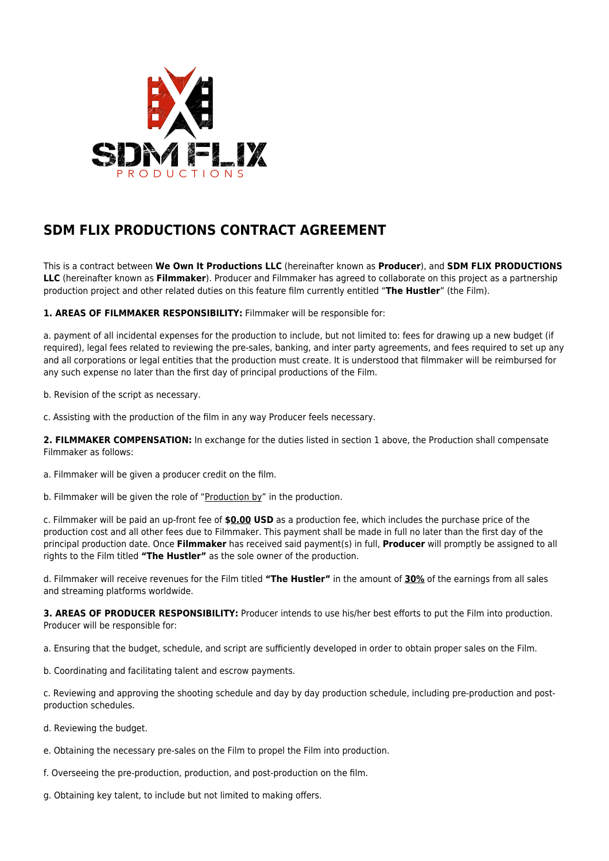

## **SDM FLIX PRODUCTIONS CONTRACT AGREEMENT**

This is a contract between **We Own It Productions LLC** (hereinafter known as **Producer**), and **SDM FLIX PRODUCTIONS LLC** (hereinafter known as **Filmmaker**). Producer and Filmmaker has agreed to collaborate on this project as a partnership production project and other related duties on this feature film currently entitled "**The Hustler**" (the Film).

**1. AREAS OF FILMMAKER RESPONSIBILITY:** Filmmaker will be responsible for:

a. payment of all incidental expenses for the production to include, but not limited to: fees for drawing up a new budget (if required), legal fees related to reviewing the pre-sales, banking, and inter party agreements, and fees required to set up any and all corporations or legal entities that the production must create. It is understood that filmmaker will be reimbursed for any such expense no later than the first day of principal productions of the Film.

b. Revision of the script as necessary.

c. Assisting with the production of the film in any way Producer feels necessary.

**2. FILMMAKER COMPENSATION:** In exchange for the duties listed in section 1 above, the Production shall compensate Filmmaker as follows:

a. Filmmaker will be given a producer credit on the film.

b. Filmmaker will be given the role of "Production by" in the production.

c. Filmmaker will be paid an up-front fee of **\$0.00 USD** as a production fee, which includes the purchase price of the production cost and all other fees due to Filmmaker. This payment shall be made in full no later than the first day of the principal production date. Once **Filmmaker** has received said payment(s) in full, **Producer** will promptly be assigned to all rights to the Film titled **"The Hustler"** as the sole owner of the production.

d. Filmmaker will receive revenues for the Film titled **"The Hustler"** in the amount of **30%** of the earnings from all sales and streaming platforms worldwide.

**3. AREAS OF PRODUCER RESPONSIBILITY:** Producer intends to use his/her best efforts to put the Film into production. Producer will be responsible for:

a. Ensuring that the budget, schedule, and script are sufficiently developed in order to obtain proper sales on the Film.

b. Coordinating and facilitating talent and escrow payments.

c. Reviewing and approving the shooting schedule and day by day production schedule, including pre-production and postproduction schedules.

- d. Reviewing the budget.
- e. Obtaining the necessary pre-sales on the Film to propel the Film into production.
- f. Overseeing the pre-production, production, and post-production on the film.
- g. Obtaining key talent, to include but not limited to making offers.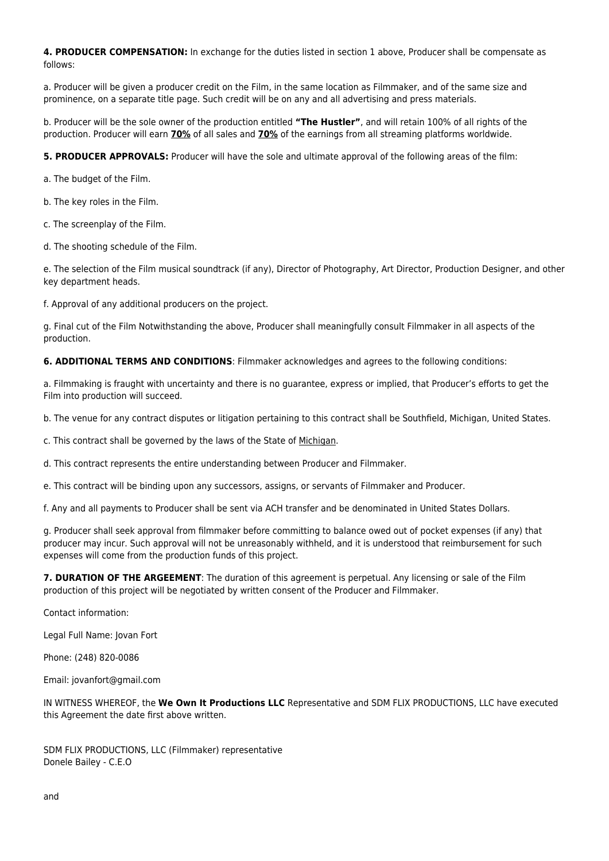**4. PRODUCER COMPENSATION:** In exchange for the duties listed in section 1 above, Producer shall be compensate as follows:

a. Producer will be given a producer credit on the Film, in the same location as Filmmaker, and of the same size and prominence, on a separate title page. Such credit will be on any and all advertising and press materials.

b. Producer will be the sole owner of the production entitled **"The Hustler"**, and will retain 100% of all rights of the production. Producer will earn **70%** of all sales and **70%** of the earnings from all streaming platforms worldwide.

**5. PRODUCER APPROVALS:** Producer will have the sole and ultimate approval of the following areas of the film:

a. The budget of the Film.

b. The key roles in the Film.

c. The screenplay of the Film.

d. The shooting schedule of the Film.

e. The selection of the Film musical soundtrack (if any), Director of Photography, Art Director, Production Designer, and other key department heads.

f. Approval of any additional producers on the project.

g. Final cut of the Film Notwithstanding the above, Producer shall meaningfully consult Filmmaker in all aspects of the production.

**6. ADDITIONAL TERMS AND CONDITIONS**: Filmmaker acknowledges and agrees to the following conditions:

a. Filmmaking is fraught with uncertainty and there is no guarantee, express or implied, that Producer's efforts to get the Film into production will succeed.

b. The venue for any contract disputes or litigation pertaining to this contract shall be Southfield, Michigan, United States.

c. This contract shall be governed by the laws of the State of Michigan.

d. This contract represents the entire understanding between Producer and Filmmaker.

e. This contract will be binding upon any successors, assigns, or servants of Filmmaker and Producer.

f. Any and all payments to Producer shall be sent via ACH transfer and be denominated in United States Dollars.

g. Producer shall seek approval from filmmaker before committing to balance owed out of pocket expenses (if any) that producer may incur. Such approval will not be unreasonably withheld, and it is understood that reimbursement for such expenses will come from the production funds of this project.

**7. DURATION OF THE ARGEEMENT**: The duration of this agreement is perpetual. Any licensing or sale of the Film production of this project will be negotiated by written consent of the Producer and Filmmaker.

Contact information:

Legal Full Name: Jovan Fort

Phone: (248) 820-0086

Email: jovanfort@gmail.com

IN WITNESS WHEREOF, the **We Own It Productions LLC** Representative and SDM FLIX PRODUCTIONS, LLC have executed this Agreement the date first above written.

SDM FLIX PRODUCTIONS, LLC (Filmmaker) representative Donele Bailey - C.E.O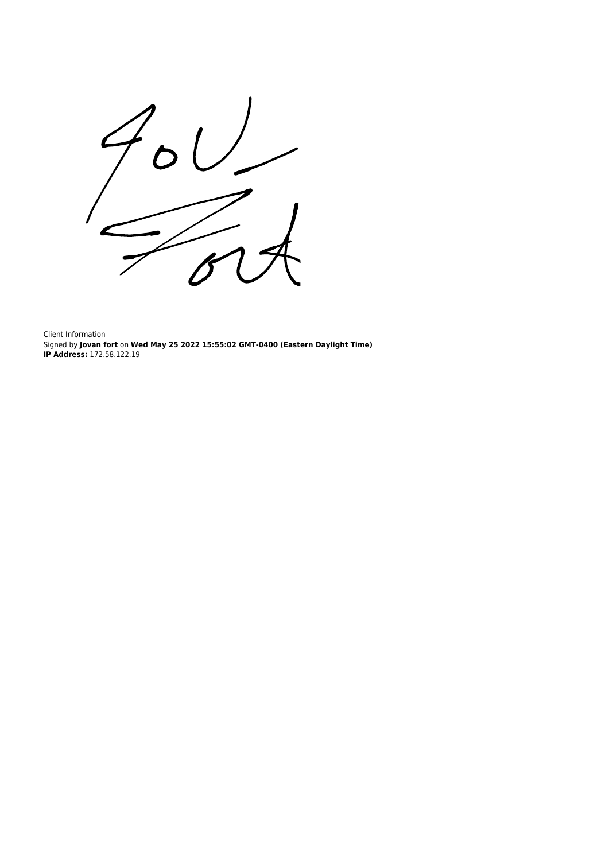

Client Information Signed by **Jovan fort** on **Wed May 25 2022 15:55:02 GMT-0400 (Eastern Daylight Time) IP Address:** 172.58.122.19